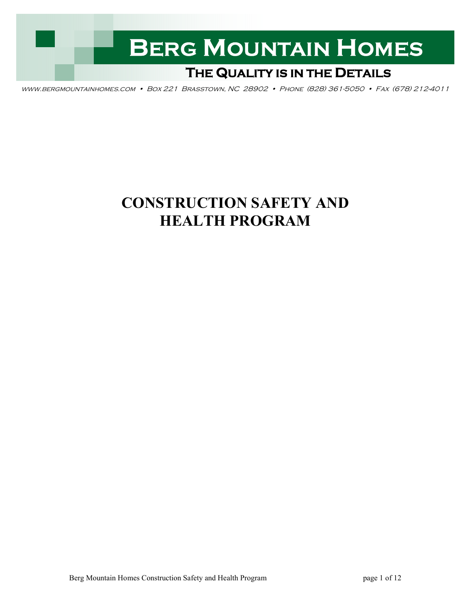

www.bergmountainhomes.com • Box 221 Brasstown, NC 28902 • Phone (828) 361-5050 • Fax (678) 212-4011

# **CONSTRUCTION SAFETY AND HEALTH PROGRAM**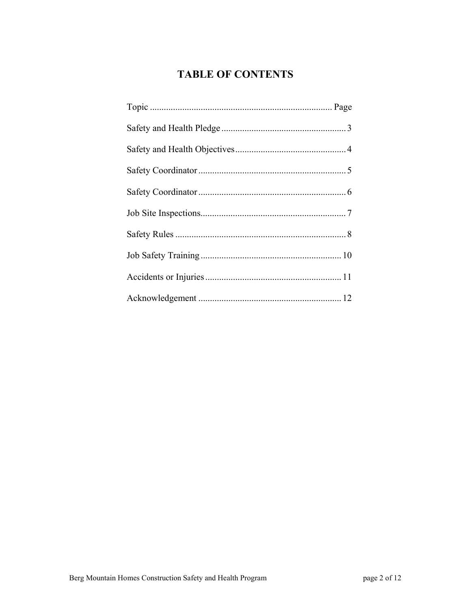## **TABLE OF CONTENTS**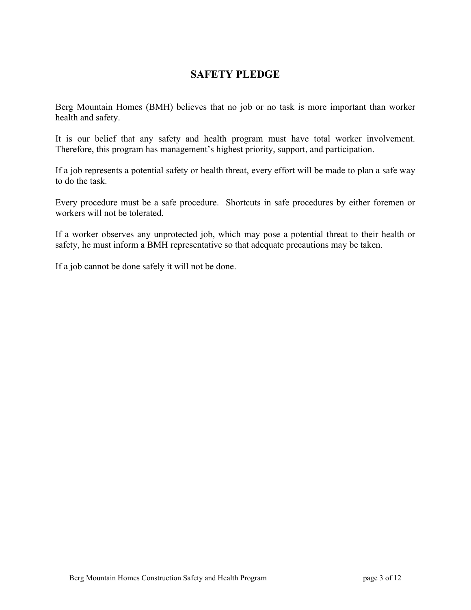#### **SAFETY PLEDGE**

Berg Mountain Homes (BMH) believes that no job or no task is more important than worker health and safety.

It is our belief that any safety and health program must have total worker involvement. Therefore, this program has management's highest priority, support, and participation.

If a job represents a potential safety or health threat, every effort will be made to plan a safe way to do the task.

Every procedure must be a safe procedure. Shortcuts in safe procedures by either foremen or workers will not be tolerated.

If a worker observes any unprotected job, which may pose a potential threat to their health or safety, he must inform a BMH representative so that adequate precautions may be taken.

If a job cannot be done safely it will not be done.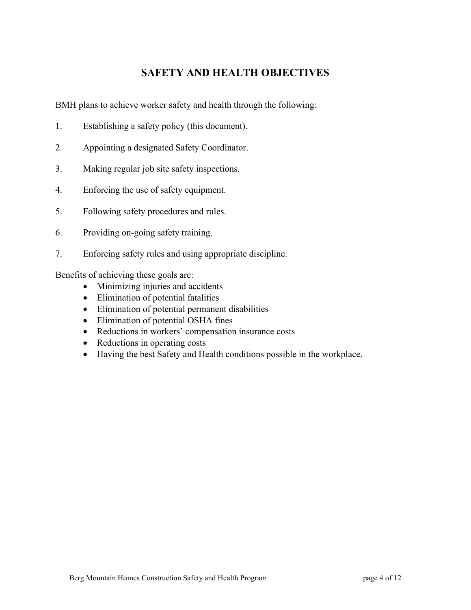#### **SAFETY AND HEALTH OBJECTIVES**

BMH plans to achieve worker safety and health through the following:

- 1. Establishing a safety policy (this document).
- 2. Appointing a designated Safety Coordinator.
- 3. Making regular job site safety inspections.
- 4. Enforcing the use of safety equipment.
- 5. Following safety procedures and rules.
- 6. Providing on-going safety training.
- 7. Enforcing safety rules and using appropriate discipline.

Benefits of achieving these goals are:

- Minimizing injuries and accidents
- Elimination of potential fatalities
- Elimination of potential permanent disabilities
- Elimination of potential OSHA fines
- Reductions in workers' compensation insurance costs
- Reductions in operating costs
- Having the best Safety and Health conditions possible in the workplace.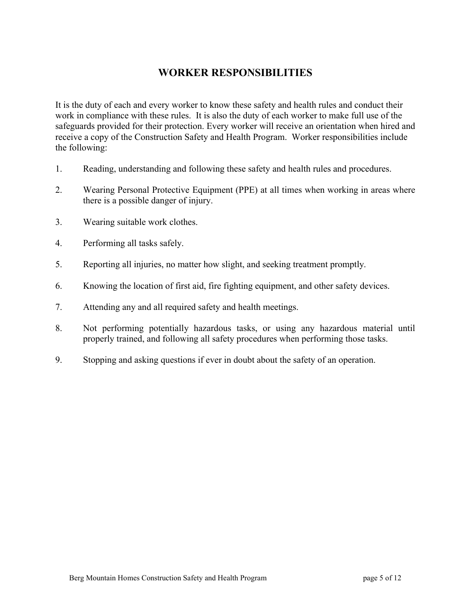#### **WORKER RESPONSIBILITIES**

It is the duty of each and every worker to know these safety and health rules and conduct their work in compliance with these rules. It is also the duty of each worker to make full use of the safeguards provided for their protection. Every worker will receive an orientation when hired and receive a copy of the Construction Safety and Health Program. Worker responsibilities include the following:

- 1. Reading, understanding and following these safety and health rules and procedures.
- 2. Wearing Personal Protective Equipment (PPE) at all times when working in areas where there is a possible danger of injury.
- 3. Wearing suitable work clothes.
- 4. Performing all tasks safely.
- 5. Reporting all injuries, no matter how slight, and seeking treatment promptly.
- 6. Knowing the location of first aid, fire fighting equipment, and other safety devices.
- 7. Attending any and all required safety and health meetings.
- 8. Not performing potentially hazardous tasks, or using any hazardous material until properly trained, and following all safety procedures when performing those tasks.
- 9. Stopping and asking questions if ever in doubt about the safety of an operation.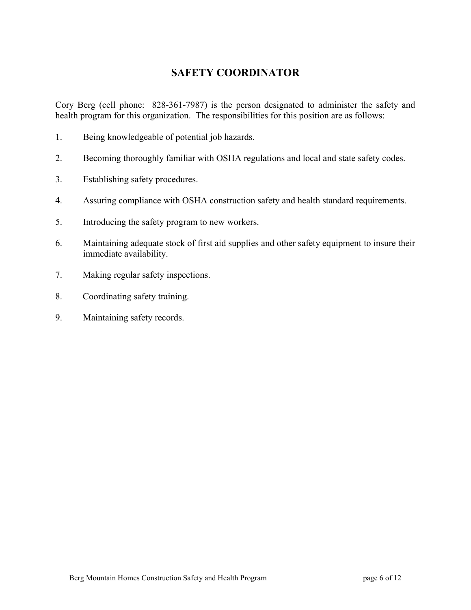#### **SAFETY COORDINATOR**

Cory Berg (cell phone: 828-361-7987) is the person designated to administer the safety and health program for this organization. The responsibilities for this position are as follows:

- 1. Being knowledgeable of potential job hazards.
- 2. Becoming thoroughly familiar with OSHA regulations and local and state safety codes.
- 3. Establishing safety procedures.
- 4. Assuring compliance with OSHA construction safety and health standard requirements.
- 5. Introducing the safety program to new workers.
- 6. Maintaining adequate stock of first aid supplies and other safety equipment to insure their immediate availability.
- 7. Making regular safety inspections.
- 8. Coordinating safety training.
- 9. Maintaining safety records.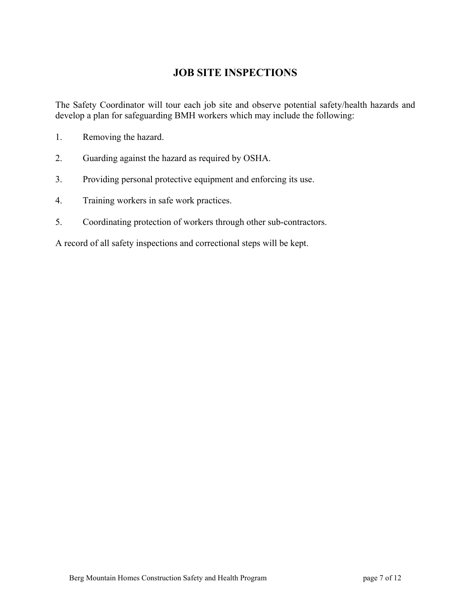#### **JOB SITE INSPECTIONS**

The Safety Coordinator will tour each job site and observe potential safety/health hazards and develop a plan for safeguarding BMH workers which may include the following:

- 1. Removing the hazard.
- 2. Guarding against the hazard as required by OSHA.
- 3. Providing personal protective equipment and enforcing its use.
- 4. Training workers in safe work practices.
- 5. Coordinating protection of workers through other sub-contractors.

A record of all safety inspections and correctional steps will be kept.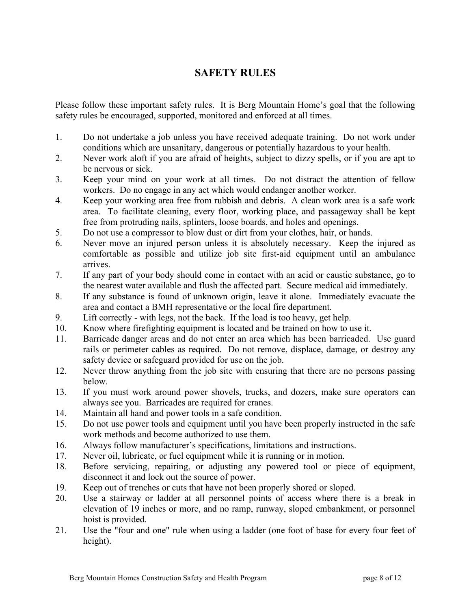#### **SAFETY RULES**

Please follow these important safety rules. It is Berg Mountain Home's goal that the following safety rules be encouraged, supported, monitored and enforced at all times.

- 1. Do not undertake a job unless you have received adequate training. Do not work under conditions which are unsanitary, dangerous or potentially hazardous to your health.
- 2. Never work aloft if you are afraid of heights, subject to dizzy spells, or if you are apt to be nervous or sick.
- 3. Keep your mind on your work at all times. Do not distract the attention of fellow workers. Do no engage in any act which would endanger another worker.
- 4. Keep your working area free from rubbish and debris. A clean work area is a safe work area. To facilitate cleaning, every floor, working place, and passageway shall be kept free from protruding nails, splinters, loose boards, and holes and openings.
- 5. Do not use a compressor to blow dust or dirt from your clothes, hair, or hands.
- 6. Never move an injured person unless it is absolutely necessary. Keep the injured as comfortable as possible and utilize job site first-aid equipment until an ambulance arrives.
- 7. If any part of your body should come in contact with an acid or caustic substance, go to the nearest water available and flush the affected part. Secure medical aid immediately.
- 8. If any substance is found of unknown origin, leave it alone. Immediately evacuate the area and contact a BMH representative or the local fire department.
- 9. Lift correctly with legs, not the back. If the load is too heavy, get help.
- 10. Know where firefighting equipment is located and be trained on how to use it.
- 11. Barricade danger areas and do not enter an area which has been barricaded. Use guard rails or perimeter cables as required. Do not remove, displace, damage, or destroy any safety device or safeguard provided for use on the job.
- 12. Never throw anything from the job site with ensuring that there are no persons passing below.
- 13. If you must work around power shovels, trucks, and dozers, make sure operators can always see you. Barricades are required for cranes.
- 14. Maintain all hand and power tools in a safe condition.
- 15. Do not use power tools and equipment until you have been properly instructed in the safe work methods and become authorized to use them.
- 16. Always follow manufacturer's specifications, limitations and instructions.
- 17. Never oil, lubricate, or fuel equipment while it is running or in motion.
- 18. Before servicing, repairing, or adjusting any powered tool or piece of equipment, disconnect it and lock out the source of power.
- 19. Keep out of trenches or cuts that have not been properly shored or sloped.
- 20. Use a stairway or ladder at all personnel points of access where there is a break in elevation of 19 inches or more, and no ramp, runway, sloped embankment, or personnel hoist is provided.
- 21. Use the "four and one" rule when using a ladder (one foot of base for every four feet of height).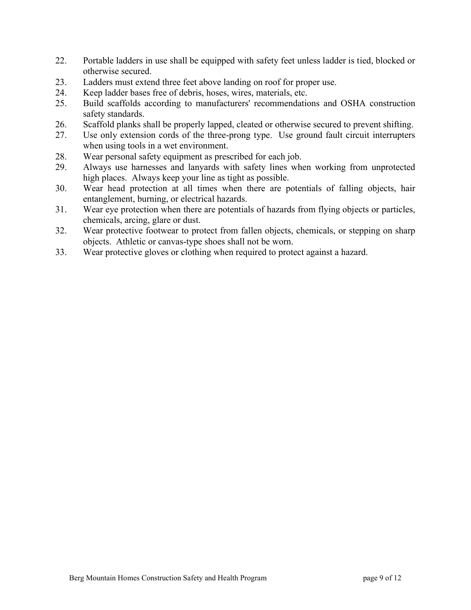- 22. Portable ladders in use shall be equipped with safety feet unless ladder is tied, blocked or otherwise secured.
- 23. Ladders must extend three feet above landing on roof for proper use.
- 24. Keep ladder bases free of debris, hoses, wires, materials, etc.
- 25. Build scaffolds according to manufacturers' recommendations and OSHA construction safety standards.
- 26. Scaffold planks shall be properly lapped, cleated or otherwise secured to prevent shifting.
- 27. Use only extension cords of the three-prong type. Use ground fault circuit interrupters when using tools in a wet environment.
- 28. Wear personal safety equipment as prescribed for each job.
- 29. Always use harnesses and lanyards with safety lines when working from unprotected high places. Always keep your line as tight as possible.
- 30. Wear head protection at all times when there are potentials of falling objects, hair entanglement, burning, or electrical hazards.
- 31. Wear eye protection when there are potentials of hazards from flying objects or particles, chemicals, arcing, glare or dust.
- 32. Wear protective footwear to protect from fallen objects, chemicals, or stepping on sharp objects. Athletic or canvas-type shoes shall not be worn.
- 33. Wear protective gloves or clothing when required to protect against a hazard.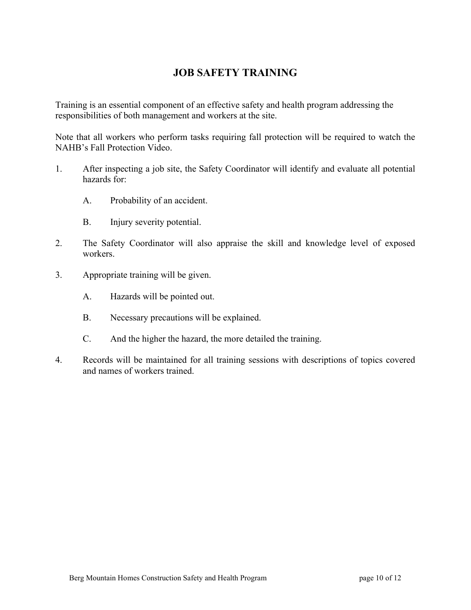#### **JOB SAFETY TRAINING**

Training is an essential component of an effective safety and health program addressing the responsibilities of both management and workers at the site.

Note that all workers who perform tasks requiring fall protection will be required to watch the NAHB's Fall Protection Video.

- 1. After inspecting a job site, the Safety Coordinator will identify and evaluate all potential hazards for:
	- A. Probability of an accident.
	- B. Injury severity potential.
- 2. The Safety Coordinator will also appraise the skill and knowledge level of exposed workers.
- 3. Appropriate training will be given.
	- A. Hazards will be pointed out.
	- B. Necessary precautions will be explained.
	- C. And the higher the hazard, the more detailed the training.
- 4. Records will be maintained for all training sessions with descriptions of topics covered and names of workers trained.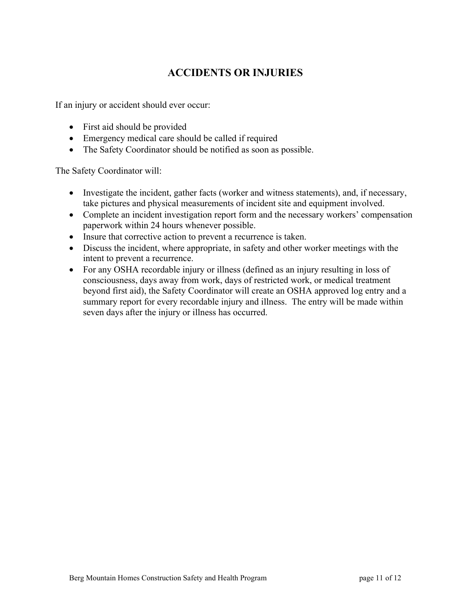### **ACCIDENTS OR INJURIES**

If an injury or accident should ever occur:

- First aid should be provided
- Emergency medical care should be called if required
- The Safety Coordinator should be notified as soon as possible.

The Safety Coordinator will:

- Investigate the incident, gather facts (worker and witness statements), and, if necessary, take pictures and physical measurements of incident site and equipment involved.
- Complete an incident investigation report form and the necessary workers' compensation paperwork within 24 hours whenever possible.
- Insure that corrective action to prevent a recurrence is taken.
- Discuss the incident, where appropriate, in safety and other worker meetings with the intent to prevent a recurrence.
- For any OSHA recordable injury or illness (defined as an injury resulting in loss of consciousness, days away from work, days of restricted work, or medical treatment beyond first aid), the Safety Coordinator will create an OSHA approved log entry and a summary report for every recordable injury and illness. The entry will be made within seven days after the injury or illness has occurred.